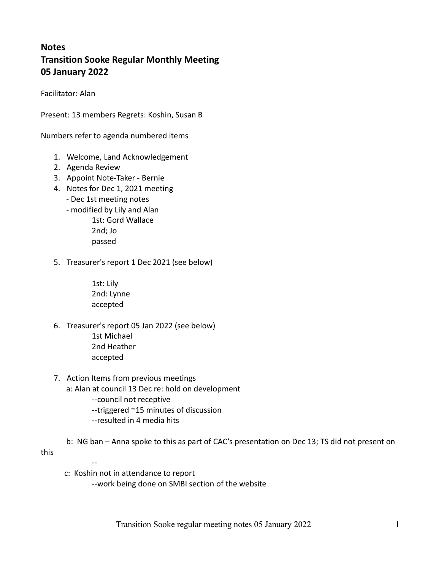# **Notes** Transition Sooke Regular Monthly Meeting 05 January 2022

Facilitator: Alan

Present: 13 members Regrets: Koshin, Susan B

Numbers refer to agenda numbered items

- 1. Welcome, Land Acknowledgement
- 2. Agenda Review
- 3. Appoint Note-Taker Bernie
- 4. Notes for Dec 1, 2021 meeting - Dec 1st meeting notes
	- modified by Lily and Alan
		- 1st: Gord Wallace
			- 2nd; Jo passed
- 5. Treasurer's report 1 Dec 2021 (see below)
	- 1st: Lily 2nd: Lynne accepted
- 6. Treasurer's report 05 Jan 2022 (see below)
	- 1st Michael 2nd Heather accepted
- 7. Action Items from previous meetings
	- a: Alan at council 13 Dec re: hold on development
		- --council not receptive
		- --triggered ~15 minutes of discussion
		- --resulted in 4 media hits
	- b: NG ban Anna spoke to this as part of CAC's presentation on Dec 13; TS did not present on

this

--

c: Koshin not in attendance to report

--work being done on SMBI section of the website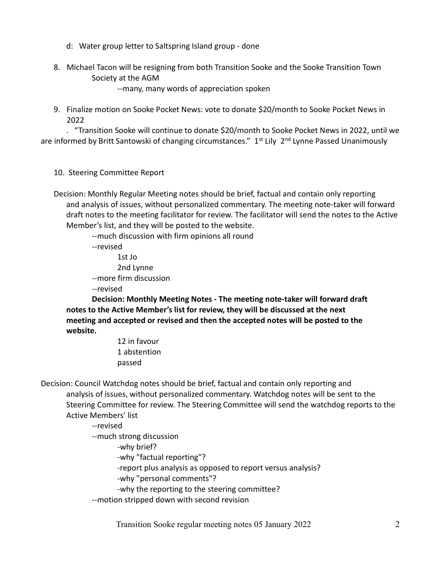- d: Water group letter to Saltspring Island group done
- 8. Michael Tacon will be resigning from both Transition Sooke and the Sooke Transition Town Society at the AGM

--many, many words of appreciation spoken

9. Finalize motion on Sooke Pocket News: vote to donate \$20/month to Sooke Pocket News in 2022

 . "Transition Sooke will continue to donate \$20/month to Sooke Pocket News in 2022, until we are informed by Britt Santowski of changing circumstances." 1<sup>st</sup> Lily 2<sup>nd</sup> Lynne Passed Unanimously

- 10. Steering Committee Report
- Decision: Monthly Regular Meeting notes should be brief, factual and contain only reporting and analysis of issues, without personalized commentary. The meeting note-taker will forward draft notes to the meeting facilitator for review. The facilitator will send the notes to the Active Member's list, and they will be posted to the website.

--much discussion with firm opinions all round

--revised

 1st Jo 2nd Lynne --more firm discussion

--revised

 Decision: Monthly Meeting Notes - The meeting note-taker will forward draft notes to the Active Member's list for review, they will be discussed at the next meeting and accepted or revised and then the accepted notes will be posted to the website.

> 12 in favour 1 abstention passed

Decision: Council Watchdog notes should be brief, factual and contain only reporting and analysis of issues, without personalized commentary. Watchdog notes will be sent to the Steering Committee for review. The Steering Committee will send the watchdog reports to the Active Members' list

--revised

--much strong discussion

-why brief?

-why "factual reporting"?

-report plus analysis as opposed to report versus analysis?

-why "personal comments"?

-why the reporting to the steering committee?

--motion stripped down with second revision

Transition Sooke regular meeting notes 05 January 2022 2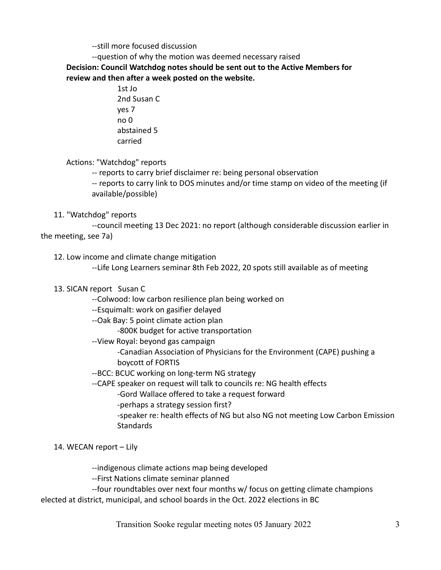--still more focused discussion

--question of why the motion was deemed necessary raised

Decision: Council Watchdog notes should be sent out to the Active Members for review and then after a week posted on the website.

> 1st Jo 2nd Susan C yes 7 no 0 abstained 5 carried

Actions: "Watchdog" reports

-- reports to carry brief disclaimer re: being personal observation

 -- reports to carry link to DOS minutes and/or time stamp on video of the meeting (if available/possible)

#### 11. "Watchdog" reports

 --council meeting 13 Dec 2021: no report (although considerable discussion earlier in the meeting, see 7a)

12. Low income and climate change mitigation

--Life Long Learners seminar 8th Feb 2022, 20 spots still available as of meeting

- 13. SICAN report Susan C
	- --Colwood: low carbon resilience plan being worked on
	- --Esquimalt: work on gasifier delayed
	- --Oak Bay: 5 point climate action plan
		- -800K budget for active transportation
	- --View Royal: beyond gas campaign

 -Canadian Association of Physicians for the Environment (CAPE) pushing a boycott of FORTIS

- --BCC: BCUC working on long-term NG strategy
- --CAPE speaker on request will talk to councils re: NG health effects
	- -Gord Wallace offered to take a request forward
	- -perhaps a strategy session first?
	- -speaker re: health effects of NG but also NG not meeting Low Carbon Emission **Standards**

### 14. WECAN report – Lily

--indigenous climate actions map being developed

--First Nations climate seminar planned

 --four roundtables over next four months w/ focus on getting climate champions elected at district, municipal, and school boards in the Oct. 2022 elections in BC

Transition Sooke regular meeting notes 05 January 2022 3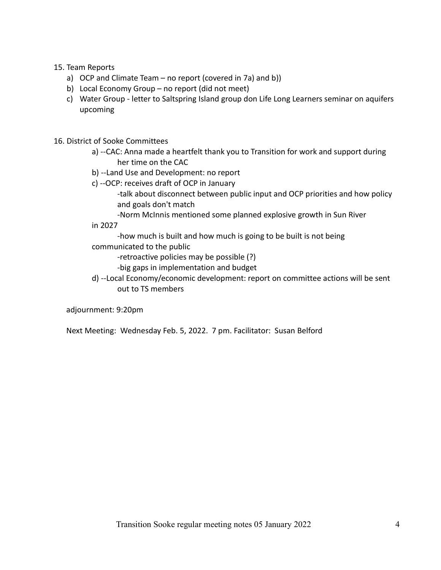#### 15. Team Reports

- a) OCP and Climate Team no report (covered in 7a) and b))
- b) Local Economy Group no report (did not meet)
- c) Water Group letter to Saltspring Island group don Life Long Learners seminar on aquifers upcoming
- 16. District of Sooke Committees
	- a) --CAC: Anna made a heartfelt thank you to Transition for work and support during her time on the CAC
	- b) --Land Use and Development: no report
	- c) --OCP: receives draft of OCP in January
		- -talk about disconnect between public input and OCP priorities and how policy and goals don't match
	- -Norm McInnis mentioned some planned explosive growth in Sun River in 2027

 -how much is built and how much is going to be built is not being communicated to the public

- -retroactive policies may be possible (?)
	- -big gaps in implementation and budget
- d) --Local Economy/economic development: report on committee actions will be sent out to TS members

adjournment: 9:20pm

Next Meeting: Wednesday Feb. 5, 2022. 7 pm. Facilitator: Susan Belford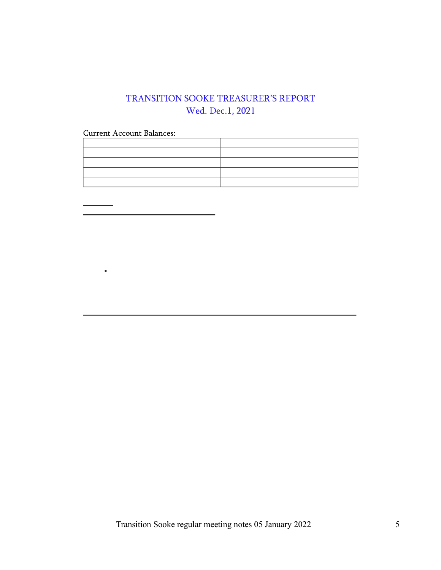### TRANSITION SOOKE TREASURER'S REPORT Wed. Dec.1, 2021

**Current Account Balances:** 

 $\bullet$ 

Transition Sooke regular meeting notes 05 January 2022 5